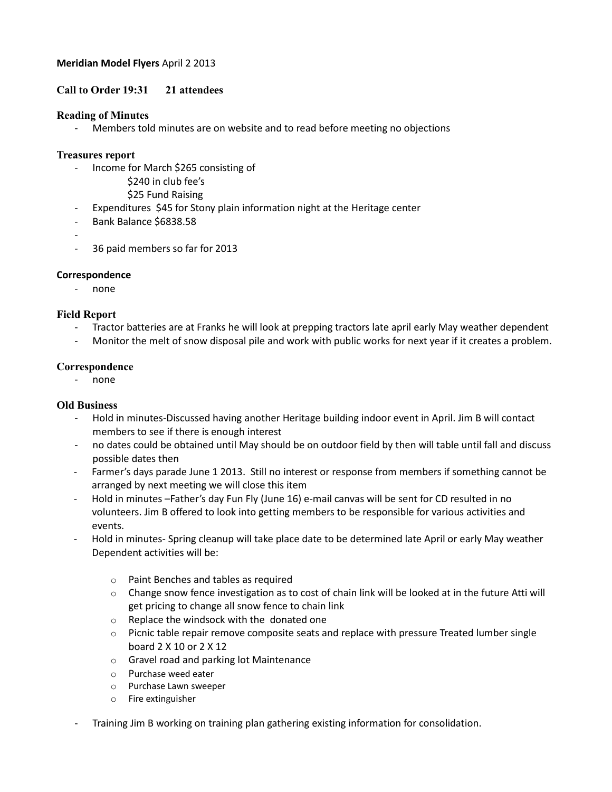## **Meridian Model Flyers** April 2 2013

# **Call to Order 19:31 21 attendees**

#### **Reading of Minutes**

- Members told minutes are on website and to read before meeting no objections

## **Treasures report**

- Income for March \$265 consisting of
	- \$240 in club fee's
	- \$25 Fund Raising
- Expenditures \$45 for Stony plain information night at the Heritage center
- Bank Balance \$6838.58
- -
- 36 paid members so far for 2013

# **Correspondence**

- none

# **Field Report**

- Tractor batteries are at Franks he will look at prepping tractors late april early May weather dependent
- Monitor the melt of snow disposal pile and work with public works for next year if it creates a problem.

#### **Correspondence**

- none

# **Old Business**

- Hold in minutes-Discussed having another Heritage building indoor event in April. Jim B will contact members to see if there is enough interest
- no dates could be obtained until May should be on outdoor field by then will table until fall and discuss possible dates then
- Farmer's days parade June 1 2013. Still no interest or response from members if something cannot be arranged by next meeting we will close this item
- Hold in minutes –Father's day Fun Fly (June 16) e-mail canvas will be sent for CD resulted in no volunteers. Jim B offered to look into getting members to be responsible for various activities and events.
- Hold in minutes- Spring cleanup will take place date to be determined late April or early May weather Dependent activities will be:
	- o Paint Benches and tables as required
	- $\circ$  Change snow fence investigation as to cost of chain link will be looked at in the future Atti will get pricing to change all snow fence to chain link
	- o Replace the windsock with the donated one
	- $\circ$  Picnic table repair remove composite seats and replace with pressure Treated lumber single board 2 X 10 or 2 X 12
	- o Gravel road and parking lot Maintenance
	- o Purchase weed eater
	- o Purchase Lawn sweeper
	- o Fire extinguisher
- Training Jim B working on training plan gathering existing information for consolidation.